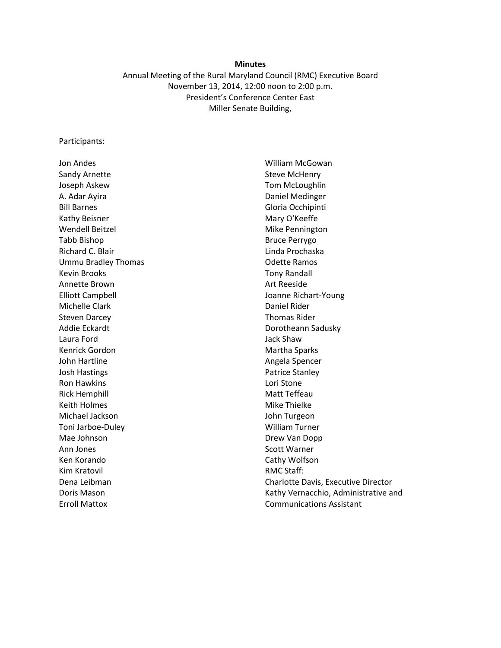#### **Minutes**

Annual Meeting of the Rural Maryland Council (RMC) Executive Board November 13, 2014, 12:00 noon to 2:00 p.m. President's Conference Center East Miller Senate Building,

#### Participants:

Jon Andes Sandy Arnette Joseph Askew A. Adar Ayira Bill Barnes Kathy Beisner Wendell Beitzel Tabb Bishop Richard C. Blair Ummu Bradley Thomas Kevin Brooks Annette Brown Elliott Campbell Michelle Clark Steven Darcey Addie Eckardt Laura Ford Kenrick Gordon John Hartline Josh Hastings Ron Hawkins Rick Hemphill Keith Holmes Michael Jackson Toni Jarboe-Duley Mae Johnson Ann Jones Ken Korando Kim Kratovil Dena Leibman Doris Mason Erroll Mattox

William McGowan Steve McHenry Tom McLoughlin Daniel Medinger Gloria Occhipinti Mary O'Keeffe Mike Pennington Bruce Perrygo Linda Prochaska Odette Ramos Tony Randall Art Reeside Joanne Richart-Young Daniel Rider Thomas Rider Dorotheann Sadusky Jack Shaw Martha Sparks Angela Spencer Patrice Stanley Lori Stone Matt Teffeau Mike Thielke John Turgeon William Turner Drew Van Dopp Scott Warner Cathy Wolfson RMC Staff: Charlotte Davis, Executive Director Kathy Vernacchio, Administrative and Communications Assistant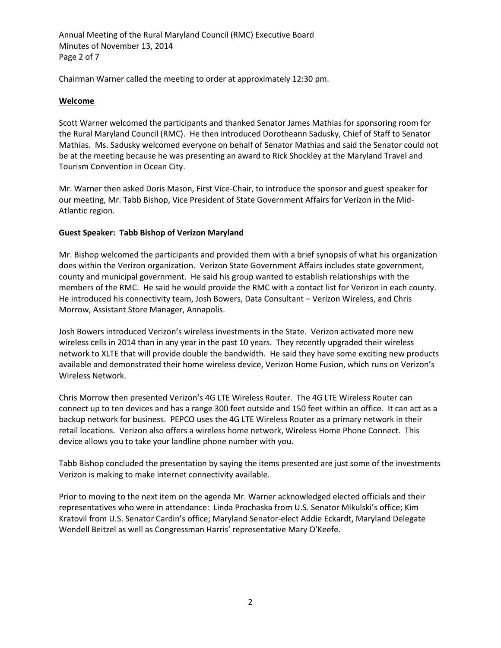Annual Meeting of the Rural Maryland Council (RMC) Executive Board Minutes of November 13, 2014 Page 2 of 7

Chairman Warner called the meeting to order at approximately 12:30 pm.

# **Welcome**

Scott Warner welcomed the participants and thanked Senator James Mathias for sponsoring room for the Rural Maryland Council (RMC). He then introduced Dorotheann Sadusky, Chief of Staff to Senator Mathias. Ms. Sadusky welcomed everyone on behalf of Senator Mathias and said the Senator could not be at the meeting because he was presenting an award to Rick Shockley at the Maryland Travel and Tourism Convention in Ocean City.

Mr. Warner then asked Doris Mason, First Vice-Chair, to introduce the sponsor and guest speaker for our meeting, Mr. Tabb Bishop, Vice President of State Government Affairs for Verizon in the Mid-Atlantic region.

# **Guest Speaker: Tabb Bishop of Verizon Maryland**

Mr. Bishop welcomed the participants and provided them with a brief synopsis of what his organization does within the Verizon organization. Verizon State Government Affairs includes state government, county and municipal government. He said his group wanted to establish relationships with the members of the RMC. He said he would provide the RMC with a contact list for Verizon in each county. He introduced his connectivity team, Josh Bowers, Data Consultant – Verizon Wireless, and Chris Morrow, Assistant Store Manager, Annapolis.

Josh Bowers introduced Verizon's wireless investments in the State. Verizon activated more new wireless cells in 2014 than in any year in the past 10 years. They recently upgraded their wireless network to XLTE that will provide double the bandwidth. He said they have some exciting new products available and demonstrated their home wireless device, Verizon Home Fusion, which runs on Verizon's Wireless Network.

Chris Morrow then presented Verizon's 4G LTE Wireless Router. The 4G LTE Wireless Router can connect up to ten devices and has a range 300 feet outside and 150 feet within an office. It can act as a backup network for business. PEPCO uses the 4G LTE Wireless Router as a primary network in their retail locations. Verizon also offers a wireless home network, Wireless Home Phone Connect. This device allows you to take your landline phone number with you.

Tabb Bishop concluded the presentation by saying the items presented are just some of the investments Verizon is making to make internet connectivity available.

Prior to moving to the next item on the agenda Mr. Warner acknowledged elected officials and their representatives who were in attendance: Linda Prochaska from U.S. Senator Mikulski's office; Kim Kratovil from U.S. Senator Cardin's office; Maryland Senator-elect Addie Eckardt, Maryland Delegate Wendell Beitzel as well as Congressman Harris' representative Mary O'Keefe.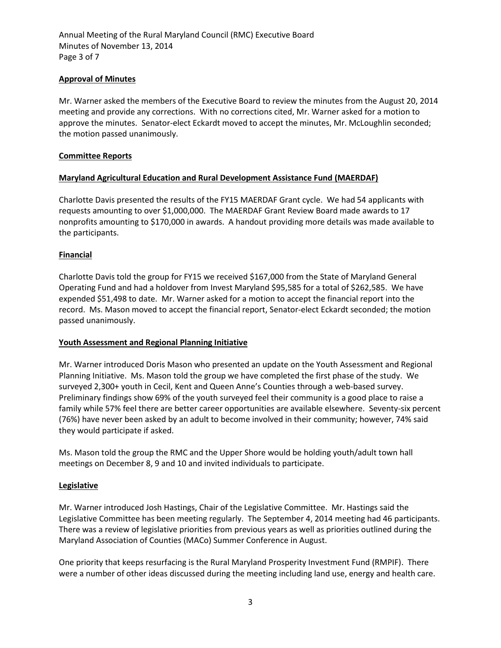Annual Meeting of the Rural Maryland Council (RMC) Executive Board Minutes of November 13, 2014 Page 3 of 7

# **Approval of Minutes**

Mr. Warner asked the members of the Executive Board to review the minutes from the August 20, 2014 meeting and provide any corrections. With no corrections cited, Mr. Warner asked for a motion to approve the minutes. Senator-elect Eckardt moved to accept the minutes, Mr. McLoughlin seconded; the motion passed unanimously.

### **Committee Reports**

## **Maryland Agricultural Education and Rural Development Assistance Fund (MAERDAF)**

Charlotte Davis presented the results of the FY15 MAERDAF Grant cycle. We had 54 applicants with requests amounting to over \$1,000,000. The MAERDAF Grant Review Board made awards to 17 nonprofits amounting to \$170,000 in awards. A handout providing more details was made available to the participants.

### **Financial**

Charlotte Davis told the group for FY15 we received \$167,000 from the State of Maryland General Operating Fund and had a holdover from Invest Maryland \$95,585 for a total of \$262,585. We have expended \$51,498 to date. Mr. Warner asked for a motion to accept the financial report into the record. Ms. Mason moved to accept the financial report, Senator-elect Eckardt seconded; the motion passed unanimously.

#### **Youth Assessment and Regional Planning Initiative**

Mr. Warner introduced Doris Mason who presented an update on the Youth Assessment and Regional Planning Initiative. Ms. Mason told the group we have completed the first phase of the study. We surveyed 2,300+ youth in Cecil, Kent and Queen Anne's Counties through a web-based survey. Preliminary findings show 69% of the youth surveyed feel their community is a good place to raise a family while 57% feel there are better career opportunities are available elsewhere. Seventy-six percent (76%) have never been asked by an adult to become involved in their community; however, 74% said they would participate if asked.

Ms. Mason told the group the RMC and the Upper Shore would be holding youth/adult town hall meetings on December 8, 9 and 10 and invited individuals to participate.

#### **Legislative**

Mr. Warner introduced Josh Hastings, Chair of the Legislative Committee. Mr. Hastings said the Legislative Committee has been meeting regularly. The September 4, 2014 meeting had 46 participants. There was a review of legislative priorities from previous years as well as priorities outlined during the Maryland Association of Counties (MACo) Summer Conference in August.

One priority that keeps resurfacing is the Rural Maryland Prosperity Investment Fund (RMPIF). There were a number of other ideas discussed during the meeting including land use, energy and health care.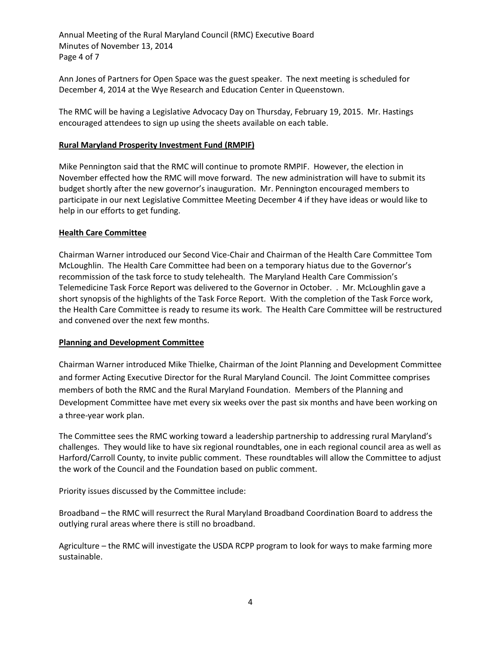Annual Meeting of the Rural Maryland Council (RMC) Executive Board Minutes of November 13, 2014 Page 4 of 7

Ann Jones of Partners for Open Space was the guest speaker. The next meeting is scheduled for December 4, 2014 at the Wye Research and Education Center in Queenstown.

The RMC will be having a Legislative Advocacy Day on Thursday, February 19, 2015. Mr. Hastings encouraged attendees to sign up using the sheets available on each table.

## **Rural Maryland Prosperity Investment Fund (RMPIF)**

Mike Pennington said that the RMC will continue to promote RMPIF. However, the election in November effected how the RMC will move forward. The new administration will have to submit its budget shortly after the new governor's inauguration. Mr. Pennington encouraged members to participate in our next Legislative Committee Meeting December 4 if they have ideas or would like to help in our efforts to get funding.

### **Health Care Committee**

Chairman Warner introduced our Second Vice-Chair and Chairman of the Health Care Committee Tom McLoughlin. The Health Care Committee had been on a temporary hiatus due to the Governor's recommission of the task force to study telehealth. The Maryland Health Care Commission's Telemedicine Task Force Report was delivered to the Governor in October. . Mr. McLoughlin gave a short synopsis of the highlights of the Task Force Report. With the completion of the Task Force work, the Health Care Committee is ready to resume its work. The Health Care Committee will be restructured and convened over the next few months.

## **Planning and Development Committee**

Chairman Warner introduced Mike Thielke, Chairman of the Joint Planning and Development Committee and former Acting Executive Director for the Rural Maryland Council. The Joint Committee comprises members of both the RMC and the Rural Maryland Foundation. Members of the Planning and Development Committee have met every six weeks over the past six months and have been working on a three-year work plan.

The Committee sees the RMC working toward a leadership partnership to addressing rural Maryland's challenges. They would like to have six regional roundtables, one in each regional council area as well as Harford/Carroll County, to invite public comment. These roundtables will allow the Committee to adjust the work of the Council and the Foundation based on public comment.

Priority issues discussed by the Committee include:

Broadband – the RMC will resurrect the Rural Maryland Broadband Coordination Board to address the outlying rural areas where there is still no broadband.

Agriculture – the RMC will investigate the USDA RCPP program to look for ways to make farming more sustainable.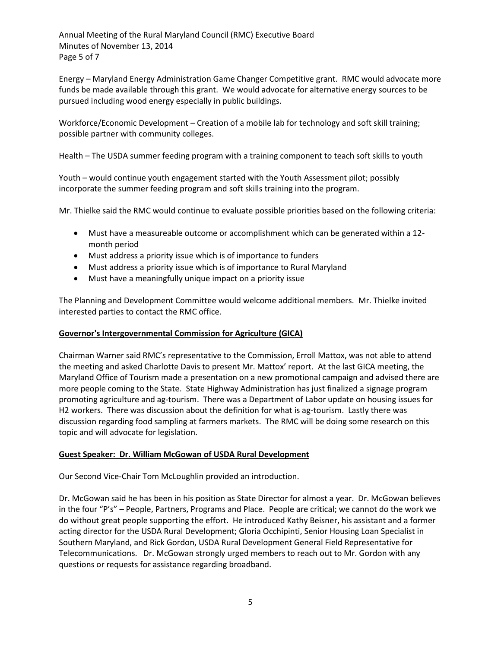Annual Meeting of the Rural Maryland Council (RMC) Executive Board Minutes of November 13, 2014 Page 5 of 7

Energy – Maryland Energy Administration Game Changer Competitive grant. RMC would advocate more funds be made available through this grant. We would advocate for alternative energy sources to be pursued including wood energy especially in public buildings.

Workforce/Economic Development – Creation of a mobile lab for technology and soft skill training; possible partner with community colleges.

Health – The USDA summer feeding program with a training component to teach soft skills to youth

Youth – would continue youth engagement started with the Youth Assessment pilot; possibly incorporate the summer feeding program and soft skills training into the program.

Mr. Thielke said the RMC would continue to evaluate possible priorities based on the following criteria:

- Must have a measureable outcome or accomplishment which can be generated within a 12 month period
- Must address a priority issue which is of importance to funders
- Must address a priority issue which is of importance to Rural Maryland
- Must have a meaningfully unique impact on a priority issue

The Planning and Development Committee would welcome additional members. Mr. Thielke invited interested parties to contact the RMC office.

## **Governor's Intergovernmental Commission for Agriculture (GICA)**

Chairman Warner said RMC's representative to the Commission, Erroll Mattox, was not able to attend the meeting and asked Charlotte Davis to present Mr. Mattox' report. At the last GICA meeting, the Maryland Office of Tourism made a presentation on a new promotional campaign and advised there are more people coming to the State. State Highway Administration has just finalized a signage program promoting agriculture and ag-tourism. There was a Department of Labor update on housing issues for H2 workers. There was discussion about the definition for what is ag-tourism. Lastly there was discussion regarding food sampling at farmers markets. The RMC will be doing some research on this topic and will advocate for legislation.

## **Guest Speaker: Dr. William McGowan of USDA Rural Development**

Our Second Vice-Chair Tom McLoughlin provided an introduction.

Dr. McGowan said he has been in his position as State Director for almost a year. Dr. McGowan believes in the four "P's" – People, Partners, Programs and Place. People are critical; we cannot do the work we do without great people supporting the effort. He introduced Kathy Beisner, his assistant and a former acting director for the USDA Rural Development; Gloria Occhipinti, Senior Housing Loan Specialist in Southern Maryland, and Rick Gordon, USDA Rural Development General Field Representative for Telecommunications. Dr. McGowan strongly urged members to reach out to Mr. Gordon with any questions or requests for assistance regarding broadband.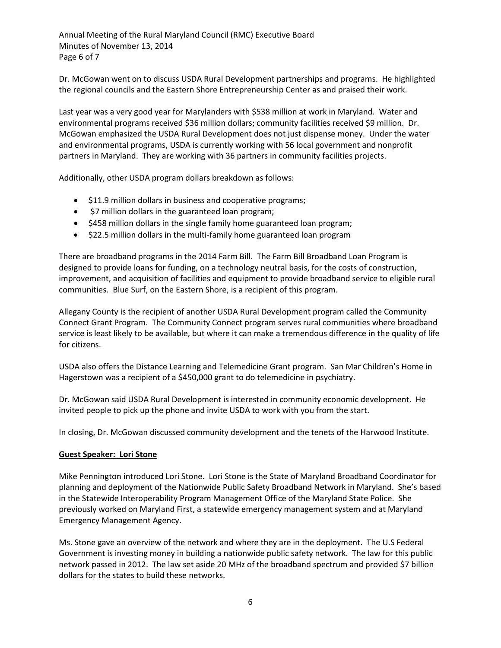Annual Meeting of the Rural Maryland Council (RMC) Executive Board Minutes of November 13, 2014 Page 6 of 7

Dr. McGowan went on to discuss USDA Rural Development partnerships and programs. He highlighted the regional councils and the Eastern Shore Entrepreneurship Center as and praised their work.

Last year was a very good year for Marylanders with \$538 million at work in Maryland. Water and environmental programs received \$36 million dollars; community facilities received \$9 million. Dr. McGowan emphasized the USDA Rural Development does not just dispense money. Under the water and environmental programs, USDA is currently working with 56 local government and nonprofit partners in Maryland. They are working with 36 partners in community facilities projects.

Additionally, other USDA program dollars breakdown as follows:

- $\bullet$  \$11.9 million dollars in business and cooperative programs;
- \$7 million dollars in the guaranteed loan program;
- \$458 million dollars in the single family home guaranteed loan program;
- \$22.5 million dollars in the multi-family home guaranteed loan program

There are broadband programs in the 2014 Farm Bill. The Farm Bill Broadband Loan Program is designed to provide loans for funding, on a technology neutral basis, for the costs of construction, improvement, and acquisition of facilities and equipment to provide broadband service to eligible rural communities. Blue Surf, on the Eastern Shore, is a recipient of this program.

Allegany County is the recipient of another USDA Rural Development program called the Community Connect Grant Program. The Community Connect program serves rural communities where broadband service is least likely to be available, but where it can make a tremendous difference in the quality of life for citizens.

USDA also offers the Distance Learning and Telemedicine Grant program. San Mar Children's Home in Hagerstown was a recipient of a \$450,000 grant to do telemedicine in psychiatry.

Dr. McGowan said USDA Rural Development is interested in community economic development. He invited people to pick up the phone and invite USDA to work with you from the start.

In closing, Dr. McGowan discussed community development and the tenets of the Harwood Institute.

## **Guest Speaker: Lori Stone**

Mike Pennington introduced Lori Stone. Lori Stone is the State of Maryland Broadband Coordinator for planning and deployment of the Nationwide Public Safety Broadband Network in Maryland. She's based in the Statewide Interoperability Program Management Office of the Maryland State Police. She previously worked on Maryland First, a statewide emergency management system and at Maryland Emergency Management Agency.

Ms. Stone gave an overview of the network and where they are in the deployment. The U.S Federal Government is investing money in building a nationwide public safety network. The law for this public network passed in 2012. The law set aside 20 MHz of the broadband spectrum and provided \$7 billion dollars for the states to build these networks.